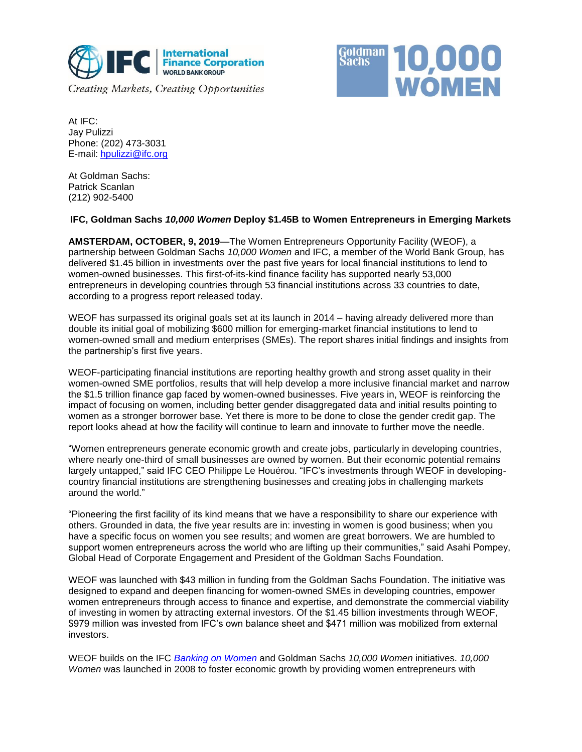



At IFC: Jay Pulizzi Phone: (202) 473-3031 E-mail: [hpulizzi@ifc.org](mailto:hpulizzi@ifc.org)

At Goldman Sachs: Patrick Scanlan (212) 902-5400

## **IFC, Goldman Sachs** *10,000 Women* **Deploy \$1.45B to Women Entrepreneurs in Emerging Markets**

**AMSTERDAM, OCTOBER, 9, 2019**—The Women Entrepreneurs Opportunity Facility (WEOF), a partnership between Goldman Sachs *10,000 Women* and IFC, a member of the World Bank Group, has delivered \$1.45 billion in investments over the past five years for local financial institutions to lend to women-owned businesses. This first-of-its-kind finance facility has supported nearly 53,000 entrepreneurs in developing countries through 53 financial institutions across 33 countries to date, according to a progress report released today.

WEOF has surpassed its original goals set at its launch in 2014 – having already delivered more than double its initial goal of mobilizing \$600 million for emerging-market financial institutions to lend to women-owned small and medium enterprises (SMEs). The report shares initial findings and insights from the partnership's first five years.

WEOF-participating financial institutions are reporting healthy growth and strong asset quality in their women-owned SME portfolios, results that will help develop a more inclusive financial market and narrow the \$1.5 trillion finance gap faced by women-owned businesses. Five years in, WEOF is reinforcing the impact of focusing on women, including better gender disaggregated data and initial results pointing to women as a stronger borrower base. Yet there is more to be done to close the gender credit gap. The report looks ahead at how the facility will continue to learn and innovate to further move the needle.

"Women entrepreneurs generate economic growth and create jobs, particularly in developing countries, where nearly one-third of small businesses are owned by women. But their economic potential remains largely untapped," said IFC CEO Philippe Le Houérou. "IFC's investments through WEOF in developingcountry financial institutions are strengthening businesses and creating jobs in challenging markets around the world."

"Pioneering the first facility of its kind means that we have a responsibility to share our experience with others. Grounded in data, the five year results are in: investing in women is good business; when you have a specific focus on women you see results; and women are great borrowers. We are humbled to support women entrepreneurs across the world who are lifting up their communities," said Asahi Pompey, Global Head of Corporate Engagement and President of the Goldman Sachs Foundation.

WEOF was launched with \$43 million in funding from the Goldman Sachs Foundation. The initiative was designed to expand and deepen financing for women-owned SMEs in developing countries, empower women entrepreneurs through access to finance and expertise, and demonstrate the commercial viability of investing in women by attracting external investors. Of the \$1.45 billion investments through WEOF, \$979 million was invested from IFC's own balance sheet and \$471 million was mobilized from external investors.

WEOF builds on the IFC *[Banking on Women](https://www.ifc.org/wps/wcm/connect/industry_ext_content/ifc_external_corporate_site/financial+institutions/priorities/banking_on_women/banking-on-women+overview)* and Goldman Sachs *10,000 Women* initiatives. *10,000 Women* was launched in 2008 to foster economic growth by providing women entrepreneurs with